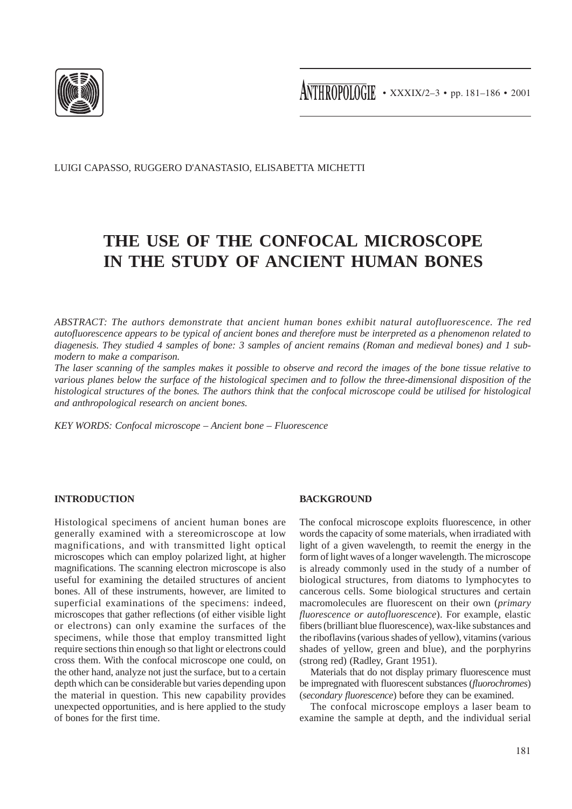

LUIGI CAPASSO, RUGGERO D'ANASTASIO, ELISABETTA MICHETTI

# **THE USE OF THE CONFOCAL MICROSCOPE IN THE STUDY OF ANCIENT HUMAN BONES**

*ABSTRACT: The authors demonstrate that ancient human bones exhibit natural autofluorescence. The red autofluorescence appears to be typical of ancient bones and therefore must be interpreted as a phenomenon related to diagenesis. They studied 4 samples of bone: 3 samples of ancient remains (Roman and medieval bones) and 1 submodern to make a comparison.*

*The laser scanning of the samples makes it possible to observe and record the images of the bone tissue relative to various planes below the surface of the histological specimen and to follow the three-dimensional disposition of the histological structures of the bones. The authors think that the confocal microscope could be utilised for histological and anthropological research on ancient bones.*

*KEY WORDS: Confocal microscope – Ancient bone – Fluorescence*

## **INTRODUCTION**

Histological specimens of ancient human bones are generally examined with a stereomicroscope at low magnifications, and with transmitted light optical microscopes which can employ polarized light, at higher magnifications. The scanning electron microscope is also useful for examining the detailed structures of ancient bones. All of these instruments, however, are limited to superficial examinations of the specimens: indeed, microscopes that gather reflections (of either visible light or electrons) can only examine the surfaces of the specimens, while those that employ transmitted light require sections thin enough so that light or electrons could cross them. With the confocal microscope one could, on the other hand, analyze not just the surface, but to a certain depth which can be considerable but varies depending upon the material in question. This new capability provides unexpected opportunities, and is here applied to the study of bones for the first time.

## **BACKGROUND**

The confocal microscope exploits fluorescence, in other words the capacity of some materials, when irradiated with light of a given wavelength, to reemit the energy in the form of light waves of a longer wavelength. The microscope is already commonly used in the study of a number of biological structures, from diatoms to lymphocytes to cancerous cells. Some biological structures and certain macromolecules are fluorescent on their own (*primary fluorescence or autofluorescence*). For example, elastic fibers (brilliant blue fluorescence), wax-like substances and the riboflavins (various shades of yellow), vitamins (various shades of yellow, green and blue), and the porphyrins (strong red) (Radley, Grant 1951).

Materials that do not display primary fluorescence must be impregnated with fluorescent substances (*fluorochromes*) (*secondary fluorescence*) before they can be examined.

The confocal microscope employs a laser beam to examine the sample at depth, and the individual serial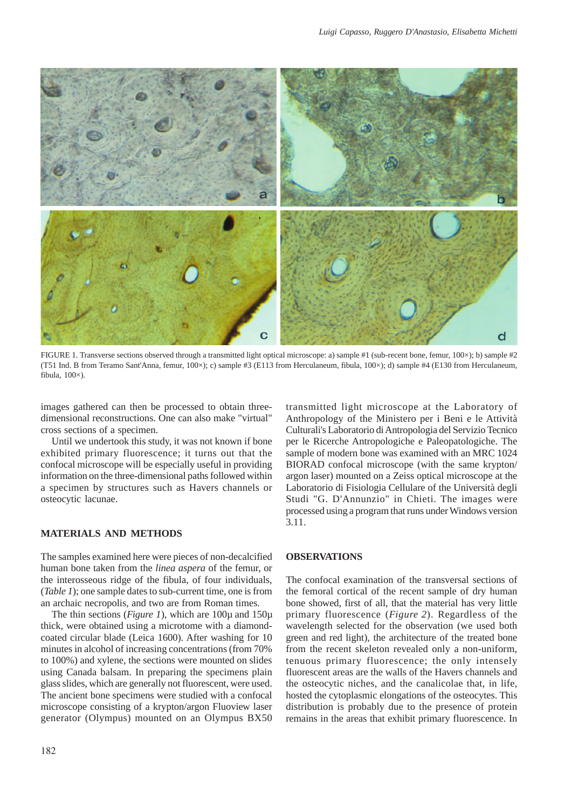

FIGURE 1. Transverse sections observed through a transmitted light optical microscope: a) sample #1 (sub-recent bone, femur, 100×); b) sample #2 (T51 Ind. B from Teramo Sant'Anna, femur, 100×); c) sample #3 (E113 from Herculaneum, fibula, 100×); d) sample #4 (E130 from Herculaneum, fibula,  $100\times$ ).

images gathered can then be processed to obtain threedimensional reconstructions. One can also make "virtual" cross sections of a specimen.

Until we undertook this study, it was not known if bone exhibited primary fluorescence; it turns out that the confocal microscope will be especially useful in providing information on the three-dimensional paths followed within a specimen by structures such as Havers channels or osteocytic lacunae.

#### **MATERIALS AND METHODS**

The samples examined here were pieces of non-decalcified human bone taken from the *linea aspera* of the femur, or the interosseous ridge of the fibula, of four individuals, (*Table 1*); one sample dates to sub-current time, one is from an archaic necropolis, and two are from Roman times.

The thin sections (*Figure 1*), which are 100µ and 150µ thick, were obtained using a microtome with a diamondcoated circular blade (Leica 1600). After washing for 10 minutes in alcohol of increasing concentrations (from 70% to 100%) and xylene, the sections were mounted on slides using Canada balsam. In preparing the specimens plain glass slides, which are generally not fluorescent, were used. The ancient bone specimens were studied with a confocal microscope consisting of a krypton/argon Fluoview laser generator (Olympus) mounted on an Olympus BX50

182

transmitted light microscope at the Laboratory of Anthropology of the Ministero per i Beni e le Attività Culturali's Laboratorio di Antropologia del Servizio Tecnico per le Ricerche Antropologiche e Paleopatologiche. The sample of modern bone was examined with an MRC 1024 BIORAD confocal microscope (with the same krypton/ argon laser) mounted on a Zeiss optical microscope at the Laboratorio di Fisiologia Cellulare of the Università degli Studi "G. D'Annunzio" in Chieti. The images were processed using a program that runs under Windows version 3.11.

## **OBSERVATIONS**

The confocal examination of the transversal sections of the femoral cortical of the recent sample of dry human bone showed, first of all, that the material has very little primary fluorescence (*Figure 2*). Regardless of the wavelength selected for the observation (we used both green and red light), the architecture of the treated bone from the recent skeleton revealed only a non-uniform, tenuous primary fluorescence; the only intensely fluorescent areas are the walls of the Havers channels and the osteocytic niches, and the canalicolae that, in life, hosted the cytoplasmic elongations of the osteocytes. This distribution is probably due to the presence of protein remains in the areas that exhibit primary fluorescence. In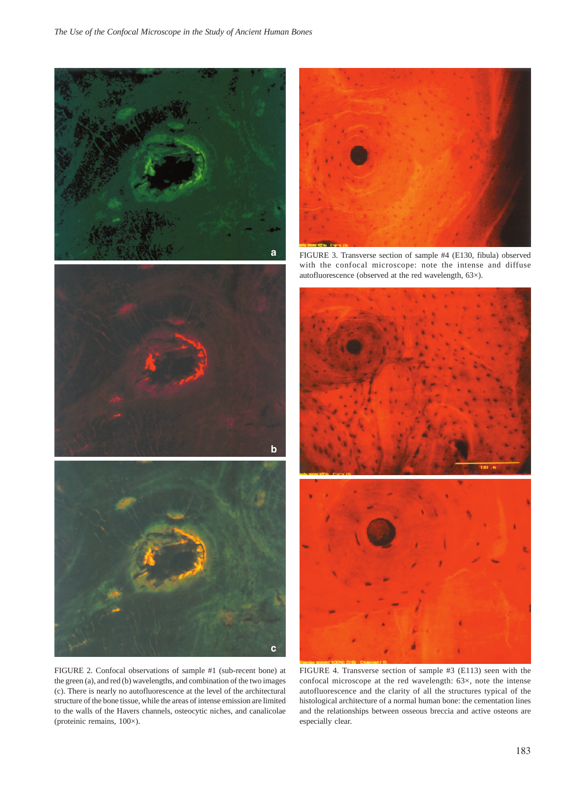





FIGURE 2. Confocal observations of sample #1 (sub-recent bone) at the green (a), and red (b) wavelengths, and combination of the two images (c). There is nearly no autofluorescence at the level of the architectural structure of the bone tissue, while the areas of intense emission are limited to the walls of the Havers channels, osteocytic niches, and canalicolae (proteinic remains, 100×).



FIGURE 3. Transverse section of sample #4 (E130, fibula) observed with the confocal microscope: note the intense and diffuse autofluorescence (observed at the red wavelength, 63×).



FIGURE 4. Transverse section of sample #3 (E113) seen with the confocal microscope at the red wavelength: 63×, note the intense autofluorescence and the clarity of all the structures typical of the histological architecture of a normal human bone: the cementation lines and the relationships between osseous breccia and active osteons are especially clear.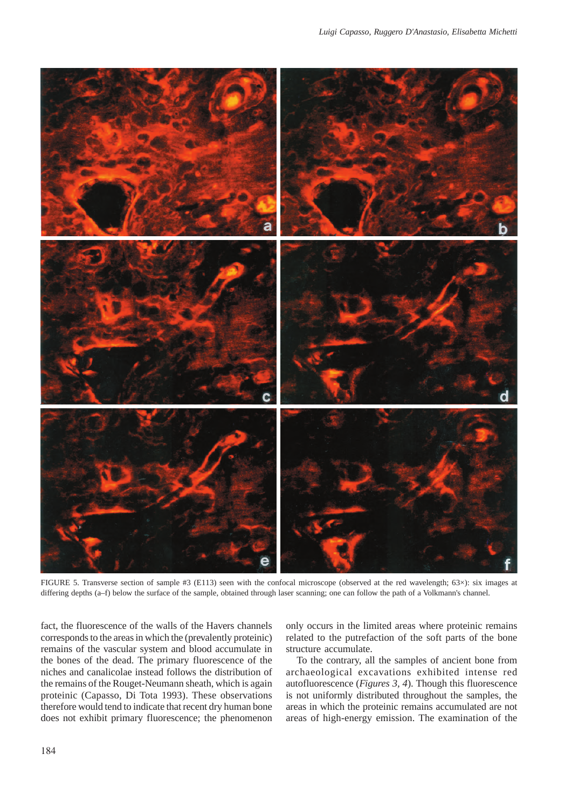

FIGURE 5. Transverse section of sample #3 (E113) seen with the confocal microscope (observed at the red wavelength; 63×): six images at differing depths (a–f) below the surface of the sample, obtained through laser scanning; one can follow the path of a Volkmann's channel.

fact, the fluorescence of the walls of the Havers channels corresponds to the areas in which the (prevalently proteinic) remains of the vascular system and blood accumulate in the bones of the dead. The primary fluorescence of the niches and canalicolae instead follows the distribution of the remains of the Rouget-Neumann sheath, which is again proteinic (Capasso, Di Tota 1993). These observations therefore would tend to indicate that recent dry human bone does not exhibit primary fluorescence; the phenomenon

only occurs in the limited areas where proteinic remains related to the putrefaction of the soft parts of the bone structure accumulate.

To the contrary, all the samples of ancient bone from archaeological excavations exhibited intense red autofluorescence (*Figures 3, 4*). Though this fluorescence is not uniformly distributed throughout the samples, the areas in which the proteinic remains accumulated are not areas of high-energy emission. The examination of the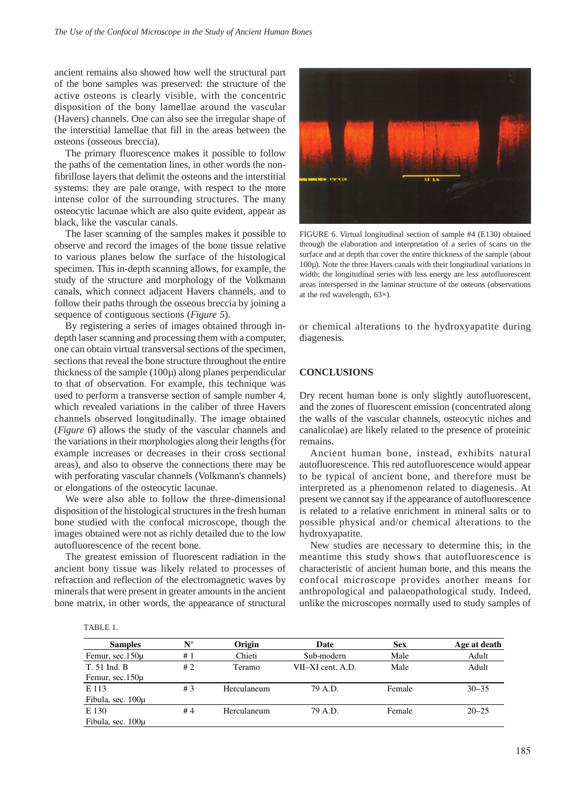ancient remains also showed how well the structural part of the bone samples was preserved: the structure of the active osteons is clearly visible, with the concentric disposition of the bony lamellae around the vascular (Havers) channels. One can also see the irregular shape of the interstitial lamellae that fill in the areas between the osteons (osseous breccia).

The primary fluorescence makes it possible to follow the paths of the cementation lines, in other words the nonfibrillose layers that delimit the osteons and the interstitial systems: they are pale orange, with respect to the more intense color of the surrounding structures. The many osteocytic lacunae which are also quite evident, appear as black, like the vascular canals.

The laser scanning of the samples makes it possible to observe and record the images of the bone tissue relative to various planes below the surface of the histological specimen. This in-depth scanning allows, for example, the study of the structure and morphology of the Volkmann canals, which connect adjacent Havers channels, and to follow their paths through the osseous breccia by joining a sequence of contiguous sections (*Figure 5*).

By registering a series of images obtained through indepth laser scanning and processing them with a computer, one can obtain virtual transversal sections of the specimen, sections that reveal the bone structure throughout the entire thickness of the sample (100µ) along planes perpendicular to that of observation. For example, this technique was used to perform a transverse section of sample number 4, which revealed variations in the caliber of three Havers channels observed longitudinally. The image obtained (*Figure 6*) allows the study of the vascular channels and the variations in their morphologies along their lengths (for example increases or decreases in their cross sectional areas), and also to observe the connections there may be with perforating vascular channels (Volkmann's channels) or elongations of the osteocytic lacunae.

We were also able to follow the three-dimensional disposition of the histological structures in the fresh human bone studied with the confocal microscope, though the images obtained were not as richly detailed due to the low autofluorescence of the recent bone.

The greatest emission of fluorescent radiation in the ancient bony tissue was likely related to processes of refraction and reflection of the electromagnetic waves by minerals that were present in greater amounts in the ancient bone matrix, in other words, the appearance of structural



FIGURE 6. Virtual longitudinal section of sample #4 (E130) obtained through the elaboration and interpretation of a series of scans on the surface and at depth that cover the entire thickness of the sample (about  $100\mu$ ). Note the three Havers canals with their longitudinal variations in width; the longitudinal series with less energy are less autofluorescent areas interspersed in the laminar structure of the osteons (observations at the red wavelength, 63×).

or chemical alterations to the hydroxyapatite during diagenesis.

### **CONCLUSIONS**

Dry recent human bone is only slightly autofluorescent, and the zones of fluorescent emission (concentrated along the walls of the vascular channels, osteocytic niches and canalicolae) are likely related to the presence of proteinic remains.

Ancient human bone, instead, exhibits natural autofluorescence. This red autofluorescence would appear to be typical of ancient bone, and therefore must be interpreted as a phenomenon related to diagenesis. At present we cannot say if the appearance of autofluorescence is related to a relative enrichment in mineral salts or to possible physical and/or chemical alterations to the hydroxyapatite.

New studies are necessary to determine this; in the meantime this study shows that autofluorescence is characteristic of ancient human bone, and this means the confocal microscope provides another means for anthropological and palaeopathological study. Indeed, unlike the microscopes normally used to study samples of

TABLE 1.

| <b>Samples</b>      | $\mathbf{N}^{\circ}$ | Origin      | Date              | <b>Sex</b> | Age at death |
|---------------------|----------------------|-------------|-------------------|------------|--------------|
| Femur, sec.150µ     | #1                   | Chieti      | Sub-modern        | Male       | Adult        |
| T. 51 Ind. B        | #2                   | Teramo      | VII–XI cent. A.D. | Male       | Adult        |
| Femur, $sec.150\mu$ |                      |             |                   |            |              |
| E 113               | #3                   | Herculaneum | 79 A.D.           | Female     | $30 - 35$    |
| Fibula, sec. 100µ   |                      |             |                   |            |              |
| E 130               | #4                   | Herculaneum | 79 A.D.           | Female     | $20 - 25$    |
| Fibula, sec. 100µ   |                      |             |                   |            |              |